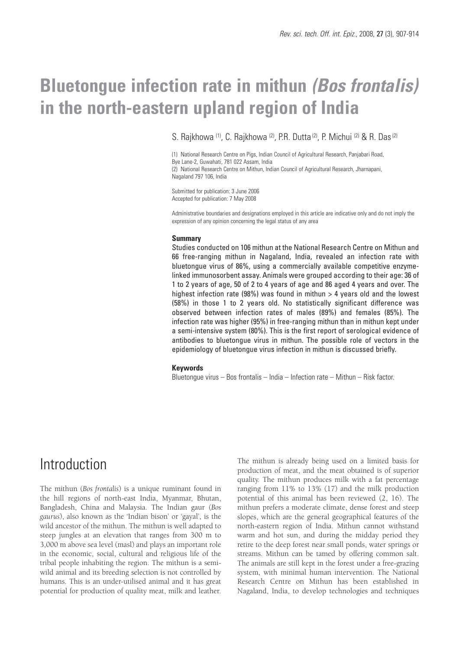# **Bluetongue infection rate in mithun** *(Bos frontalis)* **in the north-eastern upland region of India**

S. Rajkhowa <sup>(1)</sup>, C. Rajkhowa <sup>(2)</sup>, P.R. Dutta <sup>(2)</sup>, P. Michui <sup>(2)</sup> & R. Das<sup>(2)</sup>

(1) National Research Centre on Pigs, Indian Council of Agricultural Research, Panjabari Road, Bye Lane-2, Guwahati, 781 022 Assam, India (2) National Research Centre on Mithun, Indian Council of Agricultural Research, Jharnapani, Nagaland 797 106, India

Submitted for publication: 3 June 2006 Accepted for publication: 7 May 2008

Administrative boundaries and designations employed in this article are indicative only and do not imply the expression of any opinion concerning the legal status of any area

#### **Summary**

Studies conducted on 106 mithun at the National Research Centre on Mithun and 66 free-ranging mithun in Nagaland, India, revealed an infection rate with bluetongue virus of 86%, using a commercially available competitive enzymelinked immunosorbent assay. Animals were grouped according to their age: 36 of 1 to 2 years of age, 50 of 2 to 4 years of age and 86 aged 4 years and over. The highest infection rate (98%) was found in mithun  $> 4$  years old and the lowest (58%) in those 1 to 2 years old. No statistically significant difference was observed between infection rates of males (89%) and females (85%). The infection rate was higher (95%) in free-ranging mithun than in mithun kept under a semi-intensive system (80%). This is the first report of serological evidence of antibodies to bluetongue virus in mithun. The possible role of vectors in the epidemiology of bluetongue virus infection in mithun is discussed briefly.

### **Keywords**

Bluetongue virus – Bos frontalis – India – Infection rate – Mithun – Risk factor.

### **Introduction**

The mithun (*Bos frontalis*) is a unique ruminant found in the hill regions of north-east India, Myanmar, Bhutan, Bangladesh, China and Malaysia. The Indian gaur (*Bos gaurus*), also known as the 'Indian bison' or 'gayal', is the wild ancestor of the mithun. The mithun is well adapted to steep jungles at an elevation that ranges from 300 m to 3,000 m above sea level (masl) and plays an important role in the economic, social, cultural and religious life of the tribal people inhabiting the region. The mithun is a semiwild animal and its breeding selection is not controlled by humans. This is an under-utilised animal and it has great potential for production of quality meat, milk and leather.

The mithun is already being used on a limited basis for production of meat, and the meat obtained is of superior quality. The mithun produces milk with a fat percentage ranging from 11% to 13% (17) and the milk production potential of this animal has been reviewed (2, 16). The mithun prefers a moderate climate, dense forest and steep slopes, which are the general geographical features of the north-eastern region of India. Mithun cannot withstand warm and hot sun, and during the midday period they retire to the deep forest near small ponds, water springs or streams. Mithun can be tamed by offering common salt. The animals are still kept in the forest under a free-grazing system, with minimal human intervention. The National Research Centre on Mithun has been established in Nagaland, India, to develop technologies and techniques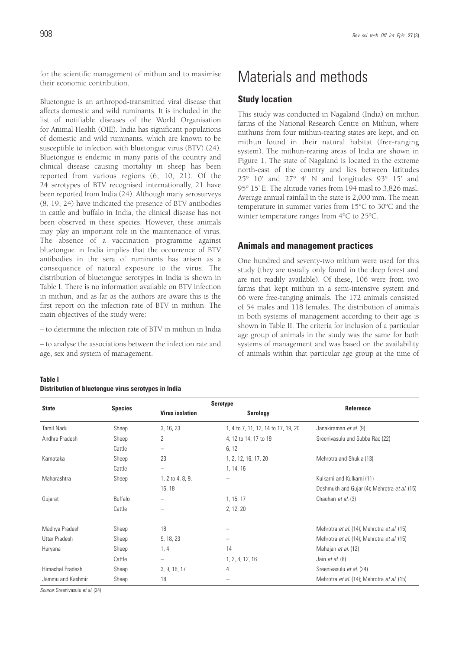for the scientific management of mithun and to maximise their economic contribution.

Bluetongue is an arthropod-transmitted viral disease that affects domestic and wild ruminants. It is included in the list of notifiable diseases of the World Organisation for Animal Health (OIE). India has significant populations of domestic and wild ruminants, which are known to be susceptible to infection with bluetongue virus (BTV) (24). Bluetongue is endemic in many parts of the country and clinical disease causing mortality in sheep has been reported from various regions (6, 10, 21). Of the 24 serotypes of BTV recognised internationally, 21 have been reported from India (24). Although many serosurveys (8, 19, 24) have indicated the presence of BTV antibodies in cattle and buffalo in India, the clinical disease has not been observed in these species. However, these animals may play an important role in the maintenance of virus. The absence of a vaccination programme against bluetongue in India implies that the occurrence of BTV antibodies in the sera of ruminants has arisen as a consequence of natural exposure to the virus. The distribution of bluetongue serotypes in India is shown in Table I. There is no information available on BTV infection in mithun, and as far as the authors are aware this is the first report on the infection rate of BTV in mithun. The main objectives of the study were:

– to determine the infection rate of BTV in mithun in India

– to analyse the associations between the infection rate and age, sex and system of management.

## Materials and methods

### **Study location**

This study was conducted in Nagaland (India) on mithun farms of the National Research Centre on Mithun, where mithuns from four mithun-rearing states are kept, and on mithun found in their natural habitat (free-ranging system). The mithun-rearing areas of India are shown in Figure 1. The state of Nagaland is located in the extreme north-east of the country and lies between latitudes 25° 10' and 27° 4' N and longitudes 93° 15' and 95° 15' E. The altitude varies from 194 masl to 3,826 masl. Average annual rainfall in the state is 2,000 mm. The mean temperature in summer varies from 15°C to 30°C and the winter temperature ranges from 4°C to 25°C.

### **Animals and management practices**

One hundred and seventy-two mithun were used for this study (they are usually only found in the deep forest and are not readily available). Of these, 106 were from two farms that kept mithun in a semi-intensive system and 66 were free-ranging animals. The 172 animals consisted of 54 males and 118 females. The distribution of animals in both systems of management according to their age is shown in Table II. The criteria for inclusion of a particular age group of animals in the study was the same for both systems of management and was based on the availability of animals within that particular age group at the time of

| Table I |                                                     |  |  |
|---------|-----------------------------------------------------|--|--|
|         | Distribution of bluetonque virus serotypes in India |  |  |

|                      |                |                        | <b>Serotype</b>                     |                                              |  |
|----------------------|----------------|------------------------|-------------------------------------|----------------------------------------------|--|
| <b>State</b>         | <b>Species</b> | <b>Virus isolation</b> | <b>Serology</b>                     | Reference                                    |  |
| Tamil Nadu           | Sheep          | 3, 16, 23              | 1, 4 to 7, 11, 12, 14 to 17, 19, 20 | Janakiraman et al. (9)                       |  |
| Andhra Pradesh       | Sheep          | $\overline{2}$         | 4, 12 to 14, 17 to 19               | Sreenivasulu and Subba Rao (22)              |  |
|                      | Cattle         | -                      | 6, 12                               |                                              |  |
| Karnataka            | Sheep          | 23                     | 1, 2, 12, 16, 17, 20                | Mehrotra and Shukla (13)                     |  |
|                      | Cattle         | -                      | 1, 14, 16                           |                                              |  |
| Maharashtra          | Sheep          | 1, 2 to 4, 8, 9,       |                                     | Kulkarni and Kulkarni (11)                   |  |
|                      |                | 16, 18                 |                                     | Deshmukh and Gujar (4); Mehrotra et al. (15) |  |
| Gujarat              | Buffalo        |                        | 1, 15, 17                           | Chauhan et al. (3)                           |  |
|                      | Cattle         |                        | 2, 12, 20                           |                                              |  |
| Madhya Pradesh       | Sheep          | 18                     |                                     | Mehrotra et al. (14); Mehrotra et al. (15)   |  |
| <b>Uttar Pradesh</b> | Sheep          | 9, 18, 23              |                                     | Mehrotra et al. (14); Mehrotra et al. (15)   |  |
| Haryana              | Sheep          | 1, 4                   | 14                                  | Mahajan et al. (12)                          |  |
|                      | Cattle         | -                      | 1, 2, 8, 12, 16                     | Jain et al. (8)                              |  |
| Himachal Pradesh     | Sheep          | 3, 9, 16, 17           | 4                                   | Sreenivasulu et al. (24)                     |  |
| Jammu and Kashmir    | Sheep          | 18                     |                                     | Mehrotra et al. (14); Mehrotra et al. (15)   |  |

*Source*: Sreenivasulu *et al.* (24)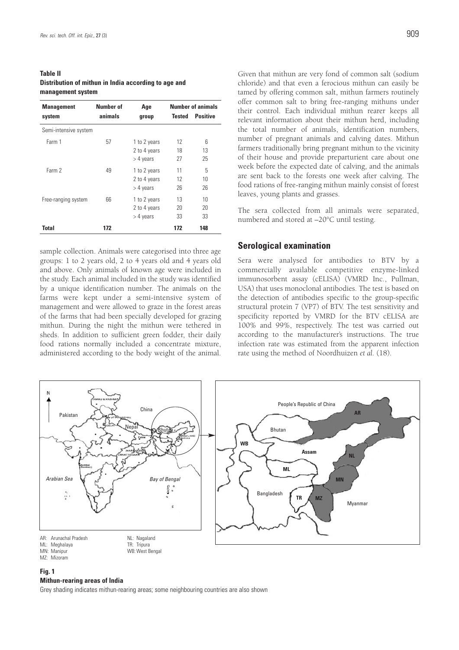| <b>Table II</b>                                      |  |
|------------------------------------------------------|--|
| Distribution of mithun in India according to age and |  |
| management system                                    |  |

| <b>Management</b>     | Number of | Age                                         | <b>Number of animals</b> |                 |
|-----------------------|-----------|---------------------------------------------|--------------------------|-----------------|
| system                | animals   | group                                       | <b>Tested</b>            | <b>Positive</b> |
| Semi-intensive system |           |                                             |                          |                 |
| Farm 1                | 57        | 1 to 2 years<br>2 to 4 years<br>$>$ 4 years | 12<br>18<br>27           | 6<br>13<br>25   |
| Farm 2                | 49        | 1 to 2 years<br>2 to 4 years<br>$>$ 4 years | 11<br>12<br>26           | 5<br>10<br>26   |
| Free-ranging system   | 66        | 1 to 2 years<br>2 to 4 years<br>> 4 years   | 13<br>20<br>33           | 10<br>20<br>33  |
| <b>Total</b>          | 172       |                                             | 172                      | 148             |

sample collection. Animals were categorised into three age groups: 1 to 2 years old, 2 to 4 years old and 4 years old and above. Only animals of known age were included in the study. Each animal included in the study was identified by a unique identification number. The animals on the farms were kept under a semi-intensive system of management and were allowed to graze in the forest areas of the farms that had been specially developed for grazing mithun. During the night the mithun were tethered in sheds. In addition to sufficient green fodder, their daily food rations normally included a concentrate mixture, administered according to the body weight of the animal.

Given that mithun are very fond of common salt (sodium chloride) and that even a ferocious mithun can easily be tamed by offering common salt, mithun farmers routinely offer common salt to bring free-ranging mithuns under their control. Each individual mithun rearer keeps all relevant information about their mithun herd, including the total number of animals, identification numbers, number of pregnant animals and calving dates. Mithun farmers traditionally bring pregnant mithun to the vicinity of their house and provide preparturient care about one week before the expected date of calving, and the animals are sent back to the forests one week after calving. The food rations of free-ranging mithun mainly consist of forest leaves, young plants and grasses.

The sera collected from all animals were separated, numbered and stored at –20°C until testing.

### **Serological examination**

Sera were analysed for antibodies to BTV by a commercially available competitive enzyme-linked immunosorbent assay (cELISA) (VMRD Inc., Pullman, USA) that uses monoclonal antibodies. The test is based on the detection of antibodies specific to the group-specific structural protein 7 (VP7) of BTV. The test sensitivity and specificity reported by VMRD for the BTV cELISA are 100% and 99%, respectively. The test was carried out according to the manufacturer's instructions. The true infection rate was estimated from the apparent infection rate using the method of Noordhuizen *et al.* (18).



### **Fig. 1**

#### **Mithun-rearing areas of India**

Grey shading indicates mithun-rearing areas; some neighbouring countries are also shown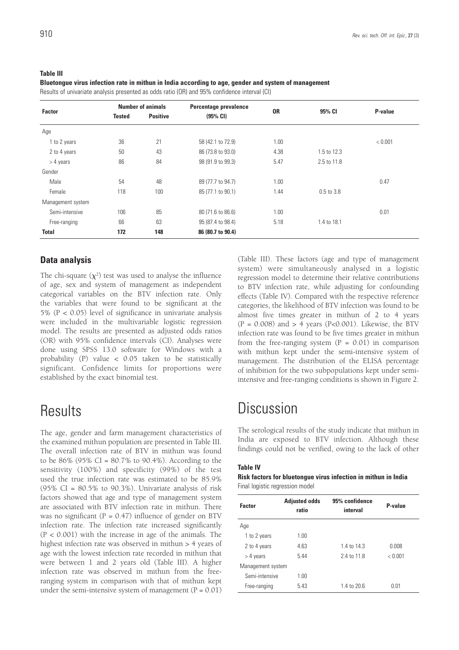#### **Table III**

**Bluetongue virus infection rate in mithun in India according to age, gender and system of management**

Results of univariate analysis presented as odds ratio (OR) and 95% confidence interval (CI)

| <b>Factor</b>     | <b>Number of animals</b> |                 | Percentage prevalence |           |             |         |
|-------------------|--------------------------|-----------------|-----------------------|-----------|-------------|---------|
|                   | <b>Tested</b>            | <b>Positive</b> | (95% CI)              | <b>OR</b> | 95% CI      | P-value |
| Age               |                          |                 |                       |           |             |         |
| 1 to 2 years      | 36                       | 21              | 58 (42.1 to 72.9)     | 1.00      |             | < 0.001 |
| 2 to 4 years      | 50                       | 43              | 86 (73.8 to 93.0)     | 4.38      | 1.5 to 12.3 |         |
| $>$ 4 years       | 86                       | 84              | 98 (91.9 to 99.3)     | 5.47      | 2.5 to 11.8 |         |
| Gender            |                          |                 |                       |           |             |         |
| Male              | 54                       | 48              | 89 (77.7 to 94.7)     | 1.00      |             | 0.47    |
| Female            | 118                      | 100             | 85 (77.1 to 90.1)     | 1.44      | 0.5 to 3.8  |         |
| Management system |                          |                 |                       |           |             |         |
| Semi-intensive    | 106                      | 85              | 80 (71.6 to 86.6)     | 1.00      |             | 0.01    |
| Free-ranging      | 66                       | 63              | 95 (87.4 to 98.4)     | 5.18      | 1.4 to 18.1 |         |
| <b>Total</b>      | 172                      | 148             | 86 (80.7 to 90.4)     |           |             |         |

### **Data analysis**

The chi-square  $(\chi^2)$  test was used to analyse the influence of age, sex and system of management as independent categorical variables on the BTV infection rate. Only the variables that were found to be significant at the 5% (P < 0.05) level of significance in univariate analysis were included in the multivariable logistic regression model. The results are presented as adjusted odds ratios (OR) with 95% confidence intervals (CI). Analyses were done using SPSS 13.0 software for Windows with a probability (P) value < 0.05 taken to be statistically significant. Confidence limits for proportions were established by the exact binomial test.

### **Results**

The age, gender and farm management characteristics of the examined mithun population are presented in Table III. The overall infection rate of BTV in mithun was found to be  $86\%$  (95% CI =  $80.7\%$  to 90.4%). According to the sensitivity (100%) and specificity (99%) of the test used the true infection rate was estimated to be 85.9% (95% CI =  $80.5\%$  to 90.3%). Univariate analysis of risk factors showed that age and type of management system are associated with BTV infection rate in mithun. There was no significant ( $P = 0.47$ ) influence of gender on BTV infection rate. The infection rate increased significantly  $(P < 0.001)$  with the increase in age of the animals. The highest infection rate was observed in mithun > 4 years of age with the lowest infection rate recorded in mithun that were between 1 and 2 years old (Table III). A higher infection rate was observed in mithun from the freeranging system in comparison with that of mithun kept under the semi-intensive system of management  $(P = 0.01)$  (Table III). These factors (age and type of management system) were simultaneously analysed in a logistic regression model to determine their relative contributions to BTV infection rate, while adjusting for confounding effects (Table IV). Compared with the respective reference categories, the likelihood of BTV infection was found to be almost five times greater in mithun of 2 to 4 years (P = 0.008) and  $> 4$  years (P<0.001). Likewise, the BTV infection rate was found to be five times greater in mithun from the free-ranging system  $(P = 0.01)$  in comparison with mithun kept under the semi-intensive system of management. The distribution of the ELISA percentage of inhibition for the two subpopulations kept under semiintensive and free-ranging conditions is shown in Figure 2.

## **Discussion**

The serological results of the study indicate that mithun in India are exposed to BTV infection. Although these findings could not be verified, owing to the lack of other

### **Table IV**

### **Risk factors for bluetongue virus infection in mithun in India** Final logistic regression model

| <b>Factor</b>     | <b>Adjusted odds</b><br>ratio | 95% confidence<br>interval | P-value |
|-------------------|-------------------------------|----------------------------|---------|
| Age               |                               |                            |         |
| 1 to 2 years      | 1.00                          |                            |         |
| 2 to 4 years      | 4.63                          | 1.4 to 14.3                | 0.008   |
| $>$ 4 years       | 5.44                          | 2.4 to 11.8                | < 0.001 |
| Management system |                               |                            |         |
| Semi-intensive    | 1 NO                          |                            |         |
| Free-ranging      | 5.43                          | 1.4 to 20.6                | 0.01    |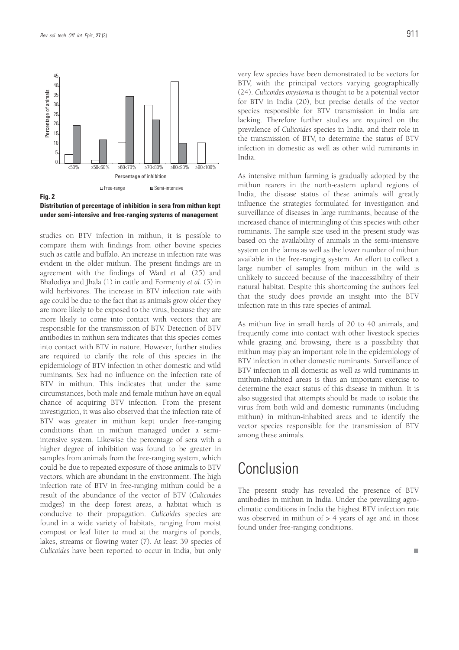

**Distribution of percentage of inhibition in sera from mithun kept under semi-intensive and free-ranging systems of management**

studies on BTV infection in mithun, it is possible to compare them with findings from other bovine species such as cattle and buffalo. An increase in infection rate was evident in the older mithun. The present findings are in agreement with the findings of Ward *et al.* (25) and Bhalodiya and Jhala (1) in cattle and Formenty *et al.* (5) in wild herbivores. The increase in BTV infection rate with age could be due to the fact that as animals grow older they are more likely to be exposed to the virus, because they are more likely to come into contact with vectors that are responsible for the transmission of BTV. Detection of BTV antibodies in mithun sera indicates that this species comes into contact with BTV in nature. However, further studies are required to clarify the role of this species in the epidemiology of BTV infection in other domestic and wild ruminants. Sex had no influence on the infection rate of BTV in mithun. This indicates that under the same circumstances, both male and female mithun have an equal chance of acquiring BTV infection. From the present investigation, it was also observed that the infection rate of BTV was greater in mithun kept under free-ranging conditions than in mithun managed under a semiintensive system. Likewise the percentage of sera with a higher degree of inhibition was found to be greater in samples from animals from the free-ranging system, which could be due to repeated exposure of those animals to BTV vectors, which are abundant in the environment. The high infection rate of BTV in free-ranging mithun could be a result of the abundance of the vector of BTV (*Culicoides* midges) in the deep forest areas, a habitat which is conducive to their propagation. *Culicoides* species are found in a wide variety of habitats, ranging from moist compost or leaf litter to mud at the margins of ponds, lakes, streams or flowing water (7). At least 39 species of *Culicoides* have been reported to occur in India, but only

very few species have been demonstrated to be vectors for BTV, with the principal vectors varying geographically (24). *Culicoides oxystoma* is thought to be a potential vector for BTV in India (20), but precise details of the vector species responsible for BTV transmission in India are lacking. Therefore further studies are required on the prevalence of *Culicoides* species in India, and their role in the transmission of BTV, to determine the status of BTV infection in domestic as well as other wild ruminants in India.

As intensive mithun farming is gradually adopted by the mithun rearers in the north-eastern upland regions of India, the disease status of these animals will greatly influence the strategies formulated for investigation and surveillance of diseases in large ruminants, because of the increased chance of intermingling of this species with other ruminants. The sample size used in the present study was based on the availability of animals in the semi-intensive system on the farms as well as the lower number of mithun available in the free-ranging system. An effort to collect a large number of samples from mithun in the wild is unlikely to succeed because of the inaccessibility of their natural habitat. Despite this shortcoming the authors feel that the study does provide an insight into the BTV infection rate in this rare species of animal.

As mithun live in small herds of 20 to 40 animals, and frequently come into contact with other livestock species while grazing and browsing, there is a possibility that mithun may play an important role in the epidemiology of BTV infection in other domestic ruminants. Surveillance of BTV infection in all domestic as well as wild ruminants in mithun-inhabited areas is thus an important exercise to determine the exact status of this disease in mithun. It is also suggested that attempts should be made to isolate the virus from both wild and domestic ruminants (including mithun) in mithun-inhabited areas and to identify the vector species responsible for the transmission of BTV among these animals.

### Conclusion

The present study has revealed the presence of BTV antibodies in mithun in India. Under the prevailing agroclimatic conditions in India the highest BTV infection rate was observed in mithun of  $> 4$  years of age and in those found under free-ranging conditions.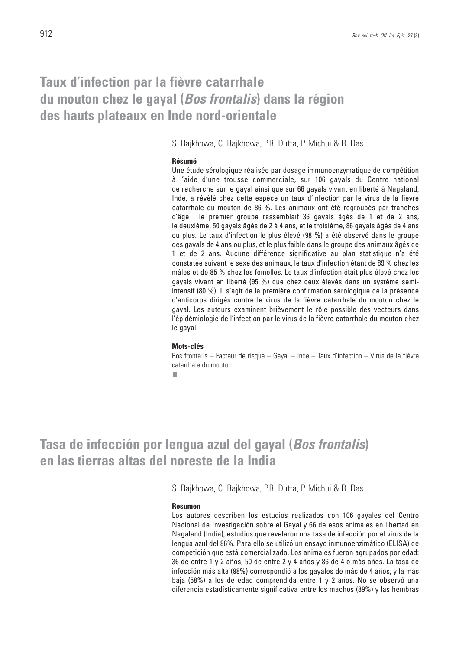### **Taux d'infection par la fièvre catarrhale du mouton chez le gayal (***Bos frontalis***) dans la région des hauts plateaux en Inde nord-orientale**

S. Rajkhowa, C. Rajkhowa, P.R. Dutta, P. Michui & R. Das

### **Résumé**

Une étude sérologique réalisée par dosage immunoenzymatique de compétition à l'aide d'une trousse commerciale, sur 106 gayals du Centre national de recherche sur le gayal ainsi que sur 66 gayals vivant en liberté à Nagaland, Inde, a révélé chez cette espèce un taux d'infection par le virus de la fièvre catarrhale du mouton de 86 %. Les animaux ont été regroupés par tranches d'âge : le premier groupe rassemblait 36 gayals âgés de 1 et de 2 ans, le deuxième, 50 gayals âgés de 2 à 4 ans, et le troisième, 86 gayals âgés de 4 ans ou plus. Le taux d'infection le plus élevé (98 %) a été observé dans le groupe des gayals de 4 ans ou plus, et le plus faible dans le groupe des animaux âgés de 1 et de 2 ans. Aucune différence significative au plan statistique n'a été constatée suivant le sexe des animaux, le taux d'infection étant de 89 % chez les mâles et de 85 % chez les femelles. Le taux d'infection était plus élevé chez les gayals vivant en liberté (95 %) que chez ceux élevés dans un système semiintensif (80 %). Il s'agit de la première confirmation sérologique de la présence d'anticorps dirigés contre le virus de la fièvre catarrhale du mouton chez le gayal. Les auteurs examinent brièvement le rôle possible des vecteurs dans l'épidémiologie de l'infection par le virus de la fièvre catarrhale du mouton chez le gayal.

### **Mots-clés**

Bos frontalis – Facteur de risque – Gayal – Inde – Taux d'infection – Virus de la fièvre catarrhale du mouton.

п

**Tasa de infección por lengua azul del gayal (***Bos frontalis***) en las tierras altas del noreste de la India**

S. Rajkhowa, C. Rajkhowa, P.R. Dutta, P. Michui & R. Das

### **Resumen**

Los autores describen los estudios realizados con 106 gayales del Centro Nacional de Investigación sobre el Gayal y 66 de esos animales en libertad en Nagaland (India), estudios que revelaron una tasa de infección por el virus de la lengua azul del 86%. Para ello se utilizó un ensayo inmunoenzimático (ELISA) de competición que está comercializado. Los animales fueron agrupados por edad: 36 de entre 1 y 2 años, 50 de entre 2 y 4 años y 86 de 4 o más años. La tasa de infección más alta (98%) correspondió a los gayales de más de 4 años, y la más baja (58%) a los de edad comprendida entre 1 y 2 años. No se observó una diferencia estadísticamente significativa entre los machos (89%) y las hembras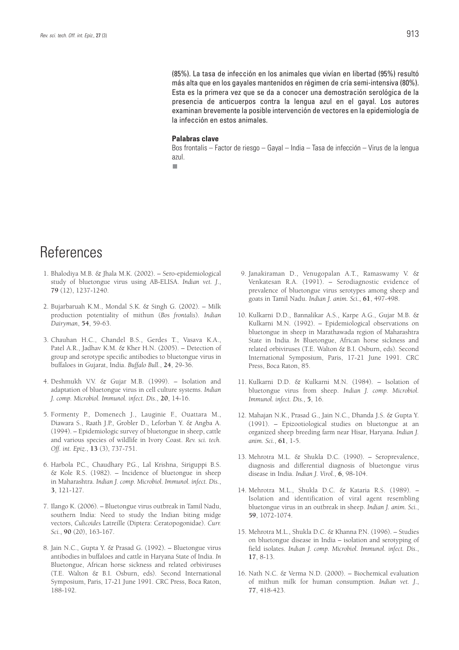(85%). La tasa de infección en los animales que vivían en libertad (95%) resultó más alta que en los gayales mantenidos en régimen de cría semi-intensiva (80%). Esta es la primera vez que se da a conocer una demostración serológica de la presencia de anticuerpos contra la lengua azul en el gayal. Los autores examinan brevemente la posible intervención de vectores en la epidemiología de la infección en estos animales.

#### **Palabras clave**

Bos frontalis – Factor de riesgo – Gayal – India – Tasa de infección – Virus de la lengua azul.

 $\overline{\phantom{a}}$ 

## **References**

- 1. Bhalodiya M.B. & Jhala M.K. (2002). Sero-epidemiological study of bluetongue virus using AB-ELISA. *Indian vet. J*., **79** (12), 1237-1240.
- 2. Bujarbaruah K.M., Mondal S.K. & Singh G. (2002). Milk production potentiality of mithun (*Bos frontalis*). *Indian Dairyman*, **54**, 59-63.
- 3. Chauhan H.C., Chandel B.S., Gerdes T., Vasava K.A., Patel A.R., Jadhav K.M. & Kher H.N. (2005). – Detection of group and serotype specific antibodies to bluetongue virus in buffaloes in Gujarat, India. *Buffalo Bull.*, **24**, 29-36.
- 4. Deshmukh V.V. & Gujar M.B. (1999). Isolation and adaptation of bluetongue virus in cell culture systems. *Indian J. comp. Microbiol. Immunol. infect. Dis*., **20**, 14-16.
- 5. Formenty P., Domenech J., Lauginie F., Ouattara M., Diawara S., Raath J.P., Grobler D., Leforban Y. & Angba A. (1994). – Epidemiologic survey of bluetongue in sheep, cattle and various species of wildlife in Ivory Coast. *Rev. sci. tech. Off. int. Epiz.*, **13** (3), 737-751.
- 6. Harbola P.C., Chaudhary P.G., Lal Krishna, Siriguppi B.S. & Kole R.S. (1982). – Incidence of bluetongue in sheep in Maharashtra. *Indian J. comp. Microbiol. Immunol. infect. Dis.*, **3**, 121-127.
- 7. Ilango K. (2006). Bluetongue virus outbreak in Tamil Nadu, southern India: Need to study the Indian biting midge vectors, *Culicoides* Latreille (Diptera: Ceratopogonidae). *Curr. Sci.*, **90** (20), 163-167.
- 8. Jain N.C., Gupta Y. & Prasad G. (1992). Bluetongue virus antibodies in buffaloes and cattle in Haryana State of India. *In* Bluetongue, African horse sickness and related orbiviruses (T.E. Walton & B.I. Osburn, eds). Second International Symposium, Paris, 17-21 June 1991. CRC Press, Boca Raton, 188-192.
- 9. Janakiraman D., Venugopalan A.T., Ramaswamy V. & Venkatesan R.A. (1991). – Serodiagnostic evidence of prevalence of bluetongue virus serotypes among sheep and goats in Tamil Nadu. *Indian J. anim. Sci.*, **61**, 497-498.
- 10. Kulkarni D.D., Bannalikar A.S., Karpe A.G., Gujar M.B. & Kulkarni M.N. (1992). – Epidemiological observations on bluetongue in sheep in Marathawada region of Maharashtra State in India. *In* Bluetongue, African horse sickness and related orbiviruses (T.E. Walton & B.I. Osburn, eds). Second International Symposium, Paris, 17-21 June 1991. CRC Press, Boca Raton, 85.
- 11. Kulkarni D.D. & Kulkarni M.N. (1984). Isolation of bluetongue virus from sheep. *Indian J. comp. Microbiol. Immunol. infect. Dis.*, **5**, 16.
- 12. Mahajan N.K., Prasad G., Jain N.C., Dhanda J.S. & Gupta Y. (1991). – Epizootiological studies on bluetongue at an organized sheep breeding farm near Hisar, Haryana. *Indian J. anim. Sci.*, **61**, 1-5.
- 13. Mehrotra M.L. & Shukla D.C. (1990). Seroprevalence, diagnosis and differential diagnosis of bluetongue virus disease in India. *Indian J. Virol.*, **6**, 98-104.
- 14. Mehrotra M.L., Shukla D.C. & Kataria R.S. (1989). Isolation and identification of viral agent resembling bluetongue virus in an outbreak in sheep. *Indian J. anim. Sci.*, **59**, 1072-1074.
- 15. Mehrotra M.L., Shukla D.C. & Khanna P.N. (1996). Studies on bluetongue disease in India – isolation and serotyping of field isolates. *Indian J. comp. Microbiol. Immunol. infect. Dis*., **17**, 8-13.
- 16. Nath N.C. & Verma N.D. (2000). Biochemical evaluation of mithun milk for human consumption. *Indian vet. J*., **77**, 418-423.